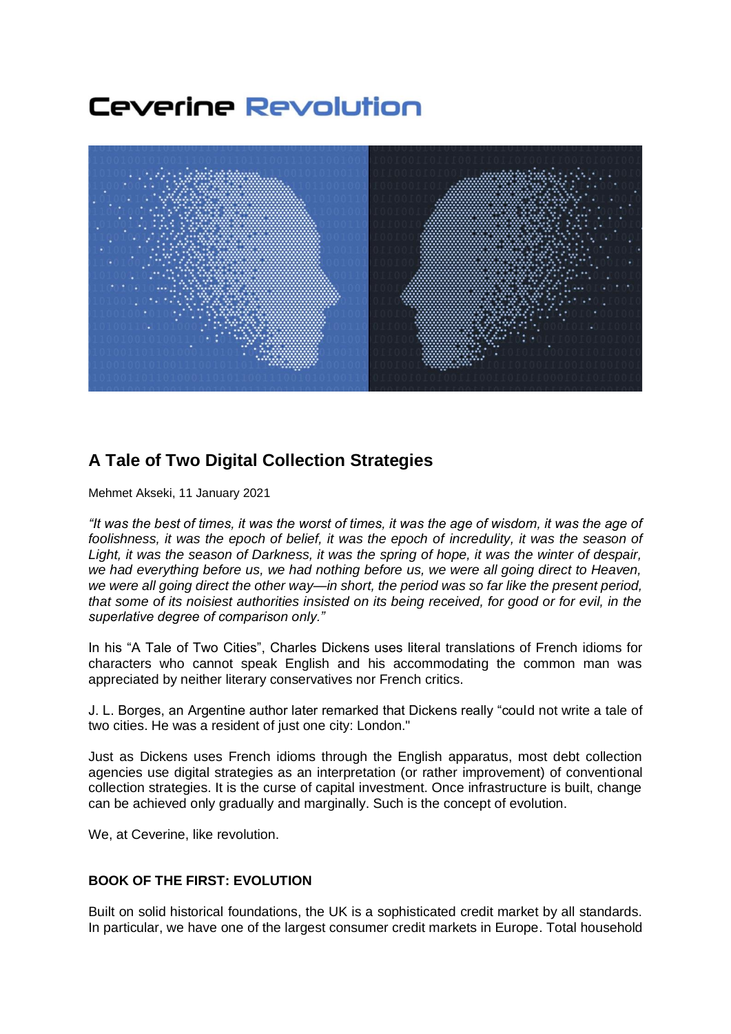# **Ceverine Revolution**



## **A Tale of Two Digital Collection Strategies**

Mehmet Akseki, 11 January 2021

*"It was the best of times, it was the worst of times, it was the age of wisdom, it was the age of foolishness, it was the epoch of belief, it was the epoch of incredulity, it was the season of Light, it was the season of Darkness, it was the spring of hope, it was the winter of despair, we had everything before us, we had nothing before us, we were all going direct to Heaven, we were all going direct the other way—in short, the period was so far like the present period, that some of its noisiest authorities insisted on its being received, for good or for evil, in the superlative degree of comparison only."*

In his "A Tale of Two Cities", Charles Dickens uses literal translations of French idioms for characters who cannot speak English and his accommodating the common man was appreciated by neither literary conservatives nor French critics.

J. L. Borges, an Argentine author later remarked that Dickens really "could not write a tale of two cities. He was a resident of just one city: London."

Just as Dickens uses French idioms through the English apparatus, most debt collection agencies use digital strategies as an interpretation (or rather improvement) of conventional collection strategies. It is the curse of capital investment. Once infrastructure is built, change can be achieved only gradually and marginally. Such is the concept of evolution.

We, at Ceverine, like revolution.

### **BOOK OF THE FIRST: EVOLUTION**

Built on solid historical foundations, the UK is a sophisticated credit market by all standards. In particular, we have one of the largest consumer credit markets in Europe. Total household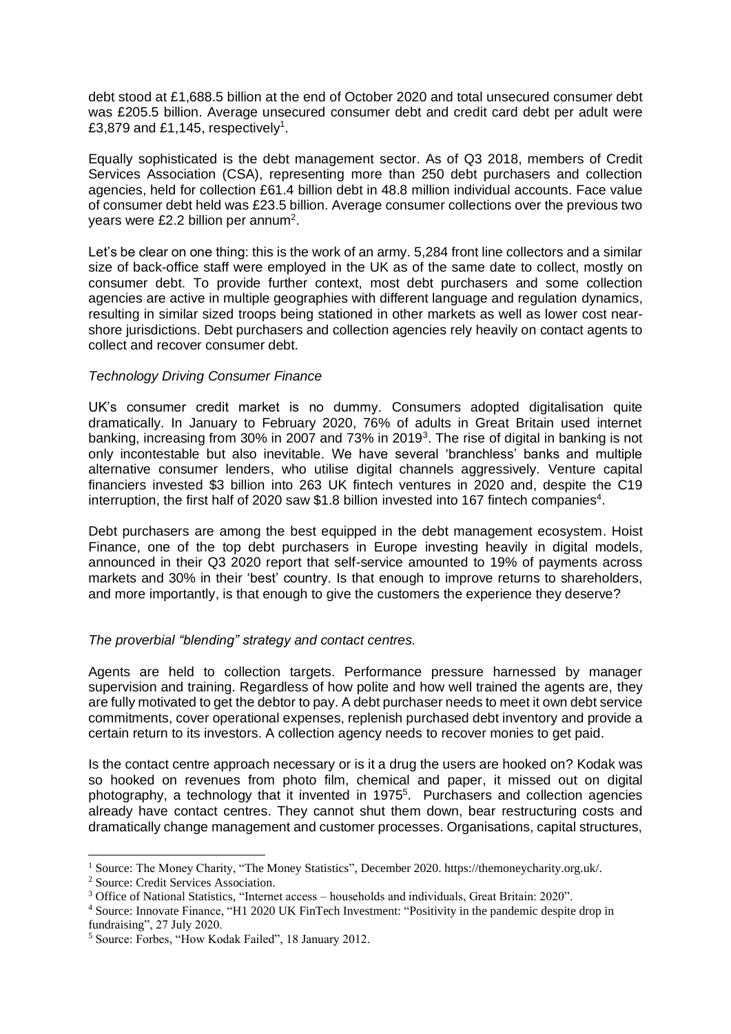debt stood at £1,688.5 billion at the end of October 2020 and total unsecured consumer debt was £205.5 billion. Average unsecured consumer debt and credit card debt per adult were £3,879 and £1,145, respectively<sup>1</sup>.

Equally sophisticated is the debt management sector. As of Q3 2018, members of Credit Services Association (CSA), representing more than 250 debt purchasers and collection agencies, held for collection £61.4 billion debt in 48.8 million individual accounts. Face value of consumer debt held was £23.5 billion. Average consumer collections over the previous two years were £2.2 billion per annum<sup>2</sup>.

Let's be clear on one thing: this is the work of an army. 5,284 front line collectors and a similar size of back-office staff were employed in the UK as of the same date to collect, mostly on consumer debt. To provide further context, most debt purchasers and some collection agencies are active in multiple geographies with different language and regulation dynamics, resulting in similar sized troops being stationed in other markets as well as lower cost nearshore jurisdictions. Debt purchasers and collection agencies rely heavily on contact agents to collect and recover consumer debt.

#### *Technology Driving Consumer Finance*

UK's consumer credit market is no dummy. Consumers adopted digitalisation quite dramatically. In January to February 2020, 76% of adults in Great Britain used internet banking, increasing from 30% in 2007 and 73% in 2019<sup>3</sup>. The rise of digital in banking is not only incontestable but also inevitable. We have several 'branchless' banks and multiple alternative consumer lenders, who utilise digital channels aggressively. Venture capital financiers invested \$3 billion into 263 UK fintech ventures in 2020 and, despite the C19 interruption, the first half of 2020 saw \$1.8 billion invested into 167 fintech companies<sup>4</sup>.

Debt purchasers are among the best equipped in the debt management ecosystem. Hoist Finance, one of the top debt purchasers in Europe investing heavily in digital models, announced in their Q3 2020 report that self-service amounted to 19% of payments across markets and 30% in their 'best' country. Is that enough to improve returns to shareholders, and more importantly, is that enough to give the customers the experience they deserve?

#### *The proverbial "blending" strategy and contact centres.*

Agents are held to collection targets. Performance pressure harnessed by manager supervision and training. Regardless of how polite and how well trained the agents are, they are fully motivated to get the debtor to pay. A debt purchaser needs to meet it own debt service commitments, cover operational expenses, replenish purchased debt inventory and provide a certain return to its investors. A collection agency needs to recover monies to get paid.

Is the contact centre approach necessary or is it a drug the users are hooked on? Kodak was so hooked on revenues from photo film, chemical and paper, it missed out on digital photography, a technology that it invented in 1975<sup>5</sup>. Purchasers and collection agencies already have contact centres. They cannot shut them down, bear restructuring costs and dramatically change management and customer processes. Organisations, capital structures,

<sup>1</sup> Source: The Money Charity, "The Money Statistics", December 2020. https://themoneycharity.org.uk/.

<sup>2</sup> Source: Credit Services Association.

<sup>3</sup> Office of National Statistics, "Internet access – households and individuals, Great Britain: 2020".

<sup>4</sup> Source: Innovate Finance, "H1 2020 UK FinTech Investment: "Positivity in the pandemic despite drop in fundraising", 27 July 2020.

<sup>5</sup> Source: Forbes, "How Kodak Failed", 18 January 2012.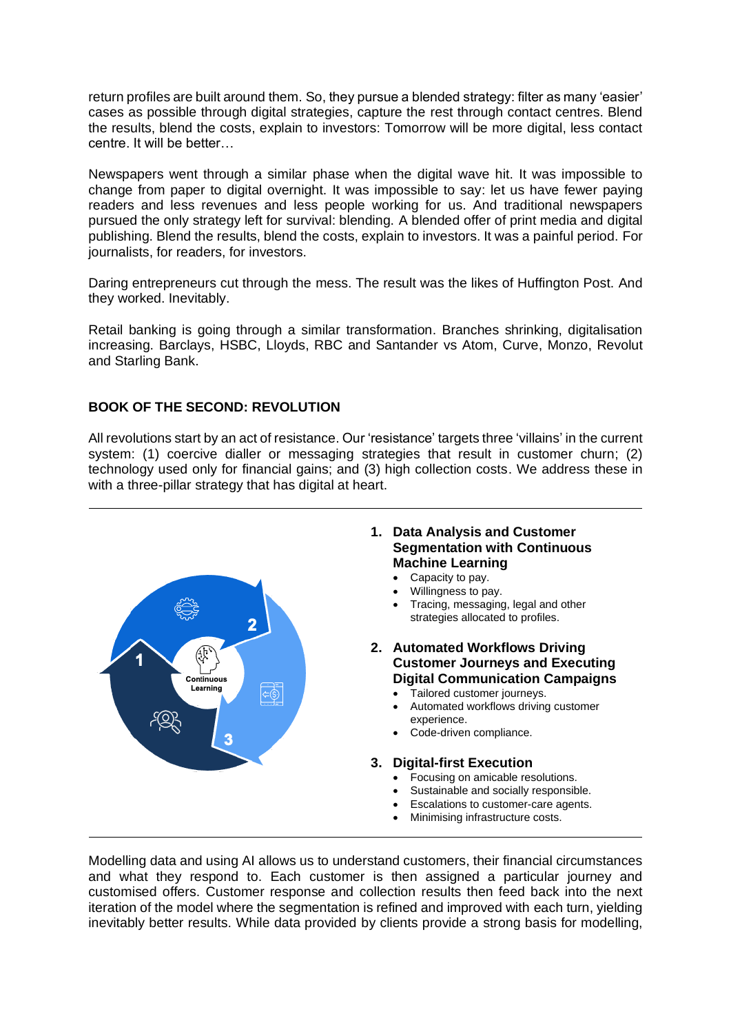return profiles are built around them. So, they pursue a blended strategy: filter as many 'easier' cases as possible through digital strategies, capture the rest through contact centres. Blend the results, blend the costs, explain to investors: Tomorrow will be more digital, less contact centre. It will be better…

Newspapers went through a similar phase when the digital wave hit. It was impossible to change from paper to digital overnight. It was impossible to say: let us have fewer paying readers and less revenues and less people working for us. And traditional newspapers pursued the only strategy left for survival: blending. A blended offer of print media and digital publishing. Blend the results, blend the costs, explain to investors. It was a painful period. For journalists, for readers, for investors.

Daring entrepreneurs cut through the mess. The result was the likes of Huffington Post. And they worked. Inevitably.

Retail banking is going through a similar transformation. Branches shrinking, digitalisation increasing. Barclays, HSBC, Lloyds, RBC and Santander vs Atom, Curve, Monzo, Revolut and Starling Bank.

#### **BOOK OF THE SECOND: REVOLUTION**

All revolutions start by an act of resistance. Our 'resistance' targets three 'villains' in the current system: (1) coercive dialler or messaging strategies that result in customer churn; (2) technology used only for financial gains; and (3) high collection costs. We address these in with a three-pillar strategy that has digital at heart.



Modelling data and using AI allows us to understand customers, their financial circumstances and what they respond to. Each customer is then assigned a particular journey and customised offers. Customer response and collection results then feed back into the next iteration of the model where the segmentation is refined and improved with each turn, yielding inevitably better results. While data provided by clients provide a strong basis for modelling,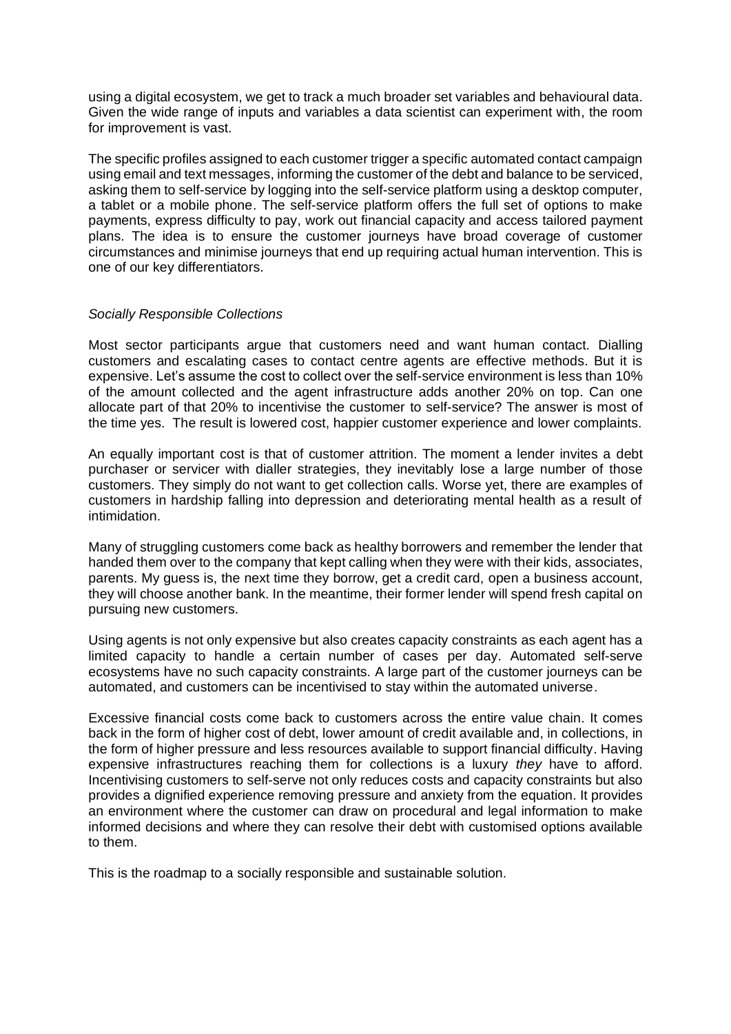using a digital ecosystem, we get to track a much broader set variables and behavioural data. Given the wide range of inputs and variables a data scientist can experiment with, the room for improvement is vast.

The specific profiles assigned to each customer trigger a specific automated contact campaign using email and text messages, informing the customer of the debt and balance to be serviced, asking them to self-service by logging into the self-service platform using a desktop computer, a tablet or a mobile phone. The self-service platform offers the full set of options to make payments, express difficulty to pay, work out financial capacity and access tailored payment plans. The idea is to ensure the customer journeys have broad coverage of customer circumstances and minimise journeys that end up requiring actual human intervention. This is one of our key differentiators.

#### *Socially Responsible Collections*

Most sector participants argue that customers need and want human contact. Dialling customers and escalating cases to contact centre agents are effective methods. But it is expensive. Let's assume the cost to collect over the self-service environment is less than 10% of the amount collected and the agent infrastructure adds another 20% on top. Can one allocate part of that 20% to incentivise the customer to self-service? The answer is most of the time yes. The result is lowered cost, happier customer experience and lower complaints.

An equally important cost is that of customer attrition. The moment a lender invites a debt purchaser or servicer with dialler strategies, they inevitably lose a large number of those customers. They simply do not want to get collection calls. Worse yet, there are examples of customers in hardship falling into depression and deteriorating mental health as a result of intimidation.

Many of struggling customers come back as healthy borrowers and remember the lender that handed them over to the company that kept calling when they were with their kids, associates, parents. My guess is, the next time they borrow, get a credit card, open a business account, they will choose another bank. In the meantime, their former lender will spend fresh capital on pursuing new customers.

Using agents is not only expensive but also creates capacity constraints as each agent has a limited capacity to handle a certain number of cases per day. Automated self-serve ecosystems have no such capacity constraints. A large part of the customer journeys can be automated, and customers can be incentivised to stay within the automated universe.

Excessive financial costs come back to customers across the entire value chain. It comes back in the form of higher cost of debt, lower amount of credit available and, in collections, in the form of higher pressure and less resources available to support financial difficulty. Having expensive infrastructures reaching them for collections is a luxury *they* have to afford. Incentivising customers to self-serve not only reduces costs and capacity constraints but also provides a dignified experience removing pressure and anxiety from the equation. It provides an environment where the customer can draw on procedural and legal information to make informed decisions and where they can resolve their debt with customised options available to them.

This is the roadmap to a socially responsible and sustainable solution.